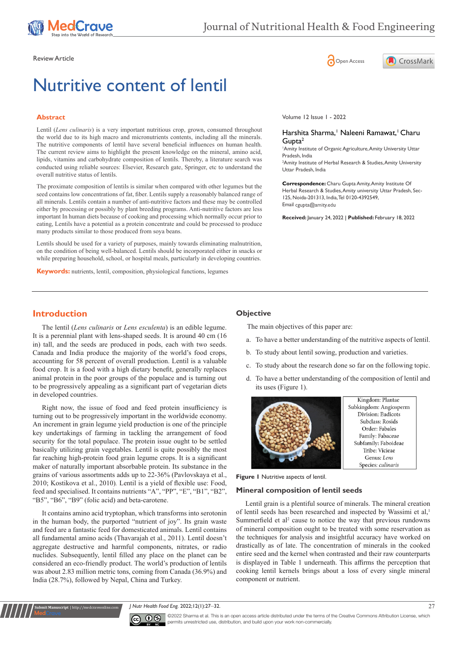

# Nutritive content of lentil

# **Abstract**

Lentil (*Lens culinaris*) is a very important nutritious crop, grown, consumed throughout the world due to its high macro and micronutrients contents, including all the minerals. The nutritive components of lentil have several beneficial influences on human health. The current review aims to highlight the present knowledge on the mineral, amino acid, lipids, vitamins and carbohydrate composition of lentils. Thereby, a literature search was conducted using reliable sources: Elsevier, Research gate, Springer, etc to understand the overall nutritive status of lentils.

The proximate composition of lentils is similar when compared with other legumes but the seed contains low concentrations of fat, fiber. Lentils supply a reasonably balanced range of all minerals. Lentils contain a number of anti-nutritive factors and these may be controlled either by processing or possibly by plant breeding programs. Anti-nutritive factors are less important In human diets because of cooking and processing which normally occur prior to eating, Lentils have a potential as a protein concentrate and could be processed to produce many products similar to those produced from soya beans.

Lentils should be used for a variety of purposes, mainly towards eliminating malnutrition, on the condition of being well-balanced. Lentils should be incorporated either in snacks or while preparing household, school, or hospital meals, particularly in developing countries.

**Keywords:** nutrients, lentil, composition, physiological functions, legumes

Review Article **Contracts** Contracts and Contracts Contracts Contracts Contracts Contracts Contracts Contracts Contracts Contracts Contracts Contracts Contracts Contracts Contracts Contracts Contracts Contracts Contracts C



Volume 12 Issue 1 - 2022

#### Harshita Sharma,<sup>1</sup> Naleeni Ramawat,<sup>1</sup> Charu Gupta2

1 Amity Institute of Organic Agriculture, Amity University Uttar Pradesh, India

2 Amity Institute of Herbal Research & Studies, Amity University Uttar Pradesh, India

**Correspondence:** Charu Gupta Amity, Amity Institute Of Herbal Research & Studies, Amity university Uttar Pradesh, Sec-125, Noida-201313, India, Tel 0120-4392549, Email cgupta@amity.edu

**Received:** January 24, 2022 | **Published:** February 18, 2022

# **Introduction**

The lentil (*Lens culinaris* or *Lens esculenta*) is an edible legume. It is a perennial plant with lens-shaped seeds. It is around 40 cm (16 in) tall, and the seeds are produced in pods, each with two seeds. Canada and India produce the majority of the world's food crops, accounting for 58 percent of overall production. Lentil is a valuable food crop. It is a food with a high dietary benefit, generally replaces animal protein in the poor groups of the populace and is turning out to be progressively appealing as a significant part of vegetarian diets in developed countries.

Right now, the issue of food and feed protein insufficiency is turning out to be progressively important in the worldwide economy. An increment in grain legume yield production is one of the principle key undertakings of farming in tackling the arrangement of food security for the total populace. The protein issue ought to be settled basically utilizing grain vegetables. Lentil is quite possibly the most far reaching high-protein food grain legume crops. It is a significant maker of naturally important absorbable protein. Its substance in the grains of various assortments adds up to 22-36% (Pavlovskaya et al., 2010; Kostikova et al., 2010)*.* Lentil is a yield of flexible use: Food, feed and specialised. It contains nutrients "A", "PP", "E", "B1", "B2", "B5", "B6", "B9" (folic acid) and beta-carotene.

It contains amino acid tryptophan, which transforms into serotonin in the human body, the purported "nutrient of joy". Its grain waste and feed are a fantastic feed for domesticated animals. Lentil contains all fundamental amino acids (Thavarajah et al., 2011). Lentil doesn't aggregate destructive and harmful components, nitrates, or radio nuclides. Subsequently, lentil filled any place on the planet can be considered an eco-friendly product. The world's production of lentils was about 2.83 million metric tons, coming from Canada (36.9%) and India (28.7%), followed by Nepal, China and Turkey.

**it Manuscript** | http://medcraveonline.

# **Objective**

The main objectives of this paper are:

- a. To have a better understanding of the nutritive aspects of lentil.
- b. To study about lentil sowing, production and varieties.
- c. To study about the research done so far on the following topic.
- d. To have a better understanding of the composition of lentil and its uses (Figure 1).



#### **Figure 1** Nutritive aspects of lentil.

#### **Mineral composition of lentil seeds**

Lentil grain is a plentiful source of minerals. The mineral creation of lentil seeds has been researched and inspected by Wassimi et al,<sup>1</sup> Summerfield et al<sup>2</sup> cause to notice the way that previous rundowns of mineral composition ought to be treated with some reservation as the techniques for analysis and insightful accuracy have worked on drastically as of late. The concentration of minerals in the cooked entire seed and the kernel when contrasted and their raw counterparts is displayed in Table 1 underneath. This affirms the perception that cooking lentil kernels brings about a loss of every single mineral component or nutrient.

*J Nutr Health Food Eng.* 2022;12(1):27‒32. 27



©2022 Sharma et al. This is an open access article distributed under the terms of the [Creative Commons Attribution License,](https://creativecommons.org/licenses/by-nc/4.0/) which permits unrestricted use, distribution, and build upon your work non-commercially.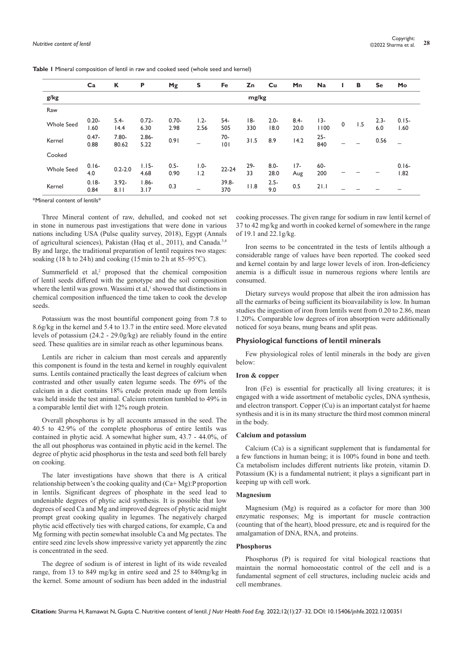|                   | Ca               | К                 | P                | Mg               | S               | Fe           | Zn         | Cu              | Mn              | <b>Na</b>     |   | В   | <b>Se</b>      | Mo               |
|-------------------|------------------|-------------------|------------------|------------------|-----------------|--------------|------------|-----------------|-----------------|---------------|---|-----|----------------|------------------|
| g/kg              |                  | mg/kg             |                  |                  |                 |              |            |                 |                 |               |   |     |                |                  |
| Raw               |                  |                   |                  |                  |                 |              |            |                 |                 |               |   |     |                |                  |
| <b>Whole Seed</b> | $0.20 -$<br>1.60 | $5.4-$<br>14.4    | $0.72 -$<br>6.30 | $0.70 -$<br>2.98 | $1.2 -$<br>2.56 | 54-<br>505   | 18-<br>330 | $2.0 -$<br>18.0 | $8.4 -$<br>20.0 | $13-$<br>1100 | 0 | 1.5 | $2.3 -$<br>6.0 | $0.15 -$<br>1.60 |
| Kernel            | $0.47 -$<br>0.88 | $7.80 -$<br>80.62 | $2.86 -$<br>5.22 | 0.91             |                 | 70-<br> 0    | 31.5       | 8.9             | 14.2            | $25 -$<br>840 |   |     | 0.56           |                  |
| Cooked            |                  |                   |                  |                  |                 |              |            |                 |                 |               |   |     |                |                  |
| <b>Whole Seed</b> | $0.16 -$<br>4.0  | $0.2 - 2.0$       | $1.15 -$<br>4.68 | $0.5 -$<br>0.90  | $1.0 -$<br>1.2  | $22 - 24$    | 29-<br>33  | $8.0 -$<br>28.0 | $17-$<br>Aug    | 60-<br>200    |   |     |                | $0.16 -$<br>1.82 |
| Kernel            | $0.18 -$<br>0.84 | $3.92 -$<br>8.11  | $1.86 -$<br>3.17 | 0.3              | –               | 39.8-<br>370 | 11.8       | $2.5 -$<br>9.0  | 0.5             | 21.1          |   |     |                |                  |

**Table 1** Mineral composition of lentil in raw and cooked seed (whole seed and kernel)

\*Mineral content of lentils\*

Three Mineral content of raw, dehulled, and cooked not set in stone in numerous past investigations that were done in various nations including USA (Pulse quality survey, 2018), Egypt (Annals of agricultural sciences), Pakistan (Haq et al., 2011), and Canada.<sup>3,4</sup> By and large, the traditional preparation of lentil requires two stages: soaking (18 h to 24 h) and cooking (15 min to 2 h at  $85-95^{\circ}$ C).

Summerfield et al,<sup>2</sup> proposed that the chemical composition of lentil seeds differed with the genotype and the soil composition where the lentil was grown. Wassimi et al,<sup>1</sup> showed that distinctions in chemical composition influenced the time taken to cook the develop seeds.

Potassium was the most bountiful component going from 7.8 to 8.6g/kg in the kernel and 5.4 to 13.7 in the entire seed. More elevated levels of potassium (24.2 - 29.0g/kg) are reliably found in the entire seed. These qualities are in similar reach as other leguminous beans.

Lentils are richer in calcium than most cereals and apparently this component is found in the testa and kernel in roughly equivalent sums. Lentils contained practically the least degrees of calcium when contrasted and other usually eaten legume seeds. The 69% of the calcium in a diet contains 18% crude protein made up from lentils was held inside the test animal. Calcium retention tumbled to 49% in a comparable lentil diet with 12% rough protein.

Overall phosphorus is by all accounts amassed in the seed. The 40.5 to 42.9% of the complete phosphorus of entire lentils was contained in phytic acid. A somewhat higher sum, 43.7 - 44.0%, of the all out phosphorus was contained in phytic acid in the kernel. The degree of phytic acid phosphorus in the testa and seed both fell barely on cooking.

The later investigations have shown that there is A critical relationship between's the cooking quality and  $(Ca+Mg)$ : P proportion in lentils. Significant degrees of phosphate in the seed lead to undeniable degrees of phytic acid synthesis. It is possible that low degrees of seed Ca and Mg and improved degrees of phytic acid might prompt great cooking quality in legumes. The negatively charged phytic acid effectively ties with charged cations, for example, Ca and Mg forming with pectin somewhat insoluble Ca and Mg pectates. The entire seed zinc levels show impressive variety yet apparently the zinc is concentrated in the seed.

The degree of sodium is of interest in light of its wide revealed range, from 13 to 849 mg/kg in entire seed and 25 to 840mg/kg in the kernel. Some amount of sodium has been added in the industrial

cooking processes. The given range for sodium in raw lentil kernel of 37 to 42 mg/kg and worth in cooked kernel of somewhere in the range of 19.1 and 22.1g/kg.

Iron seems to be concentrated in the tests of lentils although a considerable range of values have been reported. The cooked seed and kernel contain by and large lower levels of iron. Iron-deficiency anemia is a difficult issue in numerous regions where lentils are consumed.

Dietary surveys would propose that albeit the iron admission has all the earmarks of being sufficient its bioavailability is low. In human studies the ingestion of iron from lentils went from 0.20 to 2.86, mean 1.20%. Comparable low degrees of iron absorption were additionally noticed for soya beans, mung beans and split peas.

#### **Physiological functions of lentil minerals**

Few physiological roles of lentil minerals in the body are given below:

#### **Iron & copper**

Iron (Fe) is essential for practically all living creatures; it is engaged with a wide assortment of metabolic cycles, DNA synthesis, and electron transport. Copper (Cu) is an important catalyst for haeme synthesis and it is in its many structure the third most common mineral in the body.

#### **Calcium and potassium**

Calcium (Ca) is a significant supplement that is fundamental for a few functions in human being; it is 100% found in bone and teeth. Ca metabolism includes different nutrients like protein, vitamin D. Potassium (K) is a fundamental nutrient; it plays a significant part in keeping up with cell work.

#### **Magnesium**

Magnesium (Mg) is required as a cofactor for more than 300 enzymatic responses; Mg is important for muscle contraction (counting that of the heart), blood pressure, etc and is required for the amalgamation of DNA, RNA, and proteins.

## **Phosphorus**

Phosphorus (P) is required for vital biological reactions that maintain the normal homoeostatic control of the cell and is a fundamental segment of cell structures, including nucleic acids and cell membranes.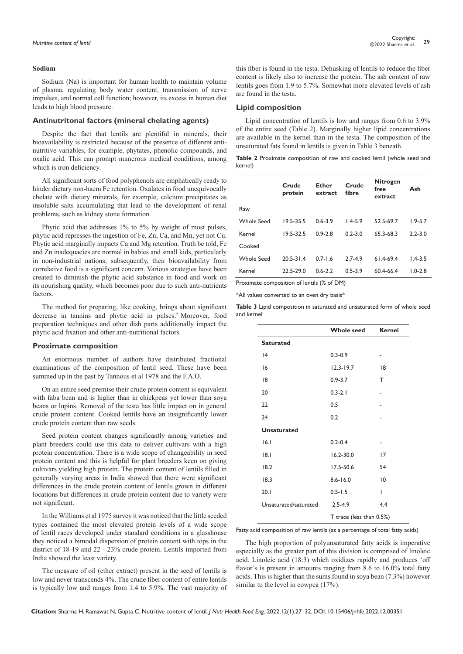#### **Sodium**

Sodium (Na) is important for human health to maintain volume of plasma, regulating body water content, transmission of nerve impulses, and normal cell function; however, its excess in human diet leads to high blood pressure.

## **Antinutritonal factors (mineral chelating agents)**

Despite the fact that lentils are plentiful in minerals, their bioavailability is restricted because of the presence of different antinutritive variables, for example, phytates, phenolic compounds, and oxalic acid. This can prompt numerous medical conditions, among which is iron deficiency.

All significant sorts of food polyphenols are emphatically ready to hinder dietary non-haem Fe retention. Oxalates in food unequivocally chelate with dietary minerals, for example, calcium precipitates as insoluble salts accumulating that lead to the development of renal problems, such as kidney stone formation.

Phytic acid that addresses 1% to 5% by weight of most pulses, phytic acid represses the ingestion of Fe, Zn, Ca, and Mn, yet not Cu. Phytic acid marginally impacts Ca and Mg retention. Truth be told, Fe and Zn inadequacies are normal in babies and small kids, particularly in non-industrial nations; subsequently, their bioavailability from correlative food is a significant concern. Various strategies have been created to diminish the phytic acid substance in food and work on its nourishing quality, which becomes poor due to such anti-nutrients factors.

The method for preparing, like cooking, brings about significant decrease in tannins and phytic acid in pulses.<sup>5</sup> Moreover, food preparation techniques and other dish parts additionally impact the phytic acid fixation and other anti-nutritional factors.

## **Proximate composition**

An enormous number of authors have distributed fractional examinations of the composition of lentil seed. These have been summed up in the past by Tannous et al 1978 and the F.A.O.

On an entire seed premise their crude protein content is equivalent with faba bean and is higher than in chickpeas yet lower than soya beans or lupins. Removal of the testa has little impact on in general crude protein content. Cooked lentils have an insignificantly lower crude protein content than raw seeds.

Seed protein content changes significantly among varieties and plant breeders could use this data to deliver cultivars with a high protein concentration. There is a wide scope of changeability in seed protein content and this is helpful for plant breeders keen on giving cultivars yielding high protein. The protein content of lentils filled in generally varying areas in India showed that there were significant differences in the crude protein content of lentils grown in different locations but differences in crude protein content due to variety were not significant.

In the Williams et al 1975 survey it was noticed that the little seeded types contained the most elevated protein levels of a wide scope of lentil races developed under standard conditions in a glasshouse they noticed a bimodal dispersion of protein content with tops in the district of 18-19 and 22 - 23% crude protein. Lentils imported from India showed the least variety.

The measure of oil (ether extract) present in the seed of lentils is low and never transcends 4%. The crude fiber content of entire lentils is typically low and ranges from 1.4 to 5.9%. The vast majority of this fiber is found in the testa. Dehusking of lentils to reduce the fiber content is likely also to increase the protein. The ash content of raw lentils goes from 1.9 to 5.7%. Somewhat more elevated levels of ash are found in the testa.

# **Lipid composition**

Lipid concentration of lentils is low and ranges from 0.6 to 3.9% of the entire seed (Table 2). Marginally higher lipid concentrations are available in the kernel than in the testa. The composition of the unsaturated fats found in lentils is given in Table 3 beneath.

**Table 2** Proximate composition of raw and cooked lentil (whole seed and kernel)

|            | Crude<br>protein | Ether<br>extract | Crude<br>fibre | <b>Nitrogen</b><br>free<br>extract | Ash         |
|------------|------------------|------------------|----------------|------------------------------------|-------------|
| Raw        |                  |                  |                |                                    |             |
| Whole Seed | 19.5-35.5        | $0.6 - 3.9$      | $1.4 - 5.9$    | 52.5-69.7                          | $1.9 - 5.7$ |
| Kernel     | 19.5-32.5        | $0.9 - 2.8$      | $0.2 - 3.0$    | 65.3-68.3                          | $2.2 - 3.0$ |
| Cooked     |                  |                  |                |                                    |             |
| Whole Seed | $20.5 - 31.4$    | $0.7 - 1.6$      | $2.7 - 4.9$    | $614-694$                          | $1.4 - 3.5$ |
| Kernel     | 22.5-29.0        | $0.6 - 2.2$      | $0.5 - 3.9$    | 60.4-66.4                          | $1.0 - 2.8$ |
|            |                  |                  |                |                                    |             |

Proximate composition of lentils (% of DM)

\*All values converted to an oven dry basis\*

**Table 3** Lipid composition in saturated and unsaturated form of whole seed and kernel

|                       | <b>Whole seed</b>        | <b>Kernel</b> |  |  |  |
|-----------------------|--------------------------|---------------|--|--|--|
| <b>Saturated</b>      |                          |               |  |  |  |
| 4                     | $0.3 - 0.9$              | ٠             |  |  |  |
| 16                    | $12.3 - 19.7$            | 8             |  |  |  |
| 18                    | $0.9 - 3.7$              | т             |  |  |  |
| 20                    | $0.3 - 2.1$              |               |  |  |  |
| 22                    | 0.5                      |               |  |  |  |
| 24                    | 0.2                      |               |  |  |  |
| <b>Unsaturated</b>    |                          |               |  |  |  |
| 16.1                  | $0.2 - 0.4$              | ٠             |  |  |  |
| 8.1                   | $16.2 - 30.0$            | 17            |  |  |  |
| 18.2                  | $17.5 - 50.6$            | 54            |  |  |  |
| 18.3                  | $8.6 - 16.0$             | 10            |  |  |  |
| 20.1                  | $0.5 - 1.5$              | T             |  |  |  |
| Unsaturated/saturated | $2.5 - 4.9$              | 4.4           |  |  |  |
|                       | T trace (less than 0.5%) |               |  |  |  |

Fatty acid composition of raw lentils (as a percentage of total fatty acids)

The high proportion of polyunsaturated fatty acids is imperative especially as the greater part of this division is comprised of linoleic acid. Linoleic acid (18:3) which oxidizes rapidly and produces 'off flavor's is present in amounts ranging from 8.6 to 16.0% total fatty acids. This is higher than the sums found in soya bean (7.3%) however similar to the level in cowpea (17%).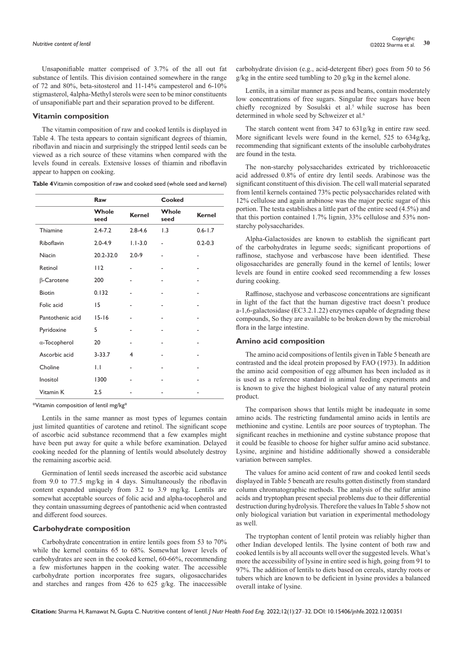Unsaponifiable matter comprised of 3.7% of the all out fat substance of lentils. This division contained somewhere in the range of 72 and 80%, beta-sitosterol and 11-14% campesterol and 6-10% stigmasterol, 4alpha-Methyl sterols were seen to be minor constituents of unsaponifiable part and their separation proved to be different.

## **Vitamin composition**

The vitamin composition of raw and cooked lentils is displayed in Table 4. The testa appears to contain significant degrees of thiamin, riboflavin and niacin and surprisingly the stripped lentil seeds can be viewed as a rich source of these vitamins when compared with the levels found in cereals. Extensive losses of thiamin and riboflavin appear to happen on cooking.

**Table 4** Vitamin composition of raw and cooked seed (whole seed and kernel)

|                   | Raw           |               | Cooked        |               |
|-------------------|---------------|---------------|---------------|---------------|
|                   | Whole<br>seed | <b>Kernel</b> | Whole<br>seed | <b>Kernel</b> |
| Thiamine          | $2.4 - 7.2$   | $2.8 - 4.6$   | 1.3           | $0.6 - 1.7$   |
| Riboflavin        | $2.0 - 4.9$   | $1.1 - 3.0$   |               | $0.2 - 0.3$   |
| Niacin            | 20.2-32.0     | $2.0 - 9$     |               | ۰             |
| Retinol           | 112           |               |               |               |
| $\beta$ -Carotene | 200           |               |               |               |
| <b>Biotin</b>     | 0.132         |               |               |               |
| Folic acid        | 15            |               |               |               |
| Pantothenic acid  | $15 - 16$     |               |               |               |
| Pyridoxine        | 5             |               |               |               |
| α-Tocopherol      | 20            |               |               |               |
| Ascorbic acid     | $3 - 33.7$    | 4             |               |               |
| Choline           | $\mathsf{L}$  |               |               |               |
| Inositol          | 1300          |               |               |               |
| Vitamin K         | 2.5           |               |               |               |

\*Vitamin composition of lentil mg/kg\*

Lentils in the same manner as most types of legumes contain just limited quantities of carotene and retinol. The significant scope of ascorbic acid substance recommend that a few examples might have been put away for quite a while before examination. Delayed cooking needed for the planning of lentils would absolutely destroy the remaining ascorbic acid.

Germination of lentil seeds increased the ascorbic acid substance from 9.0 to 77.5 mg/kg in 4 days. Simultaneously the riboflavin content expanded uniquely from 3.2 to 3.9 mg/kg. Lentils are somewhat acceptable sources of folic acid and alpha-tocopherol and they contain unassuming degrees of pantothenic acid when contrasted and different food sources.

#### **Carbohydrate composition**

Carbohydrate concentration in entire lentils goes from 53 to 70% while the kernel contains 65 to 68%. Somewhat lower levels of carbohydrates are seen in the cooked kernel, 60-66%, recommending a few misfortunes happen in the cooking water. The accessible carbohydrate portion incorporates free sugars, oligosaccharides and starches and ranges from 426 to 625 g/kg. The inaccessible

carbohydrate division (e.g., acid-detergent fiber) goes from 50 to 56 g/kg in the entire seed tumbling to 20 g/kg in the kernel alone.

Lentils, in a similar manner as peas and beans, contain moderately low concentrations of free sugars. Singular free sugars have been chiefly recognized by Sosulski et al.<sup>5</sup> while sucrose has been determined in whole seed by Schweizer et al.<sup>6</sup>

The starch content went from 347 to 631g/kg in entire raw seed. More significant levels were found in the kernel, 525 to 634g/kg, recommending that significant extents of the insoluble carbohydrates are found in the testa.

The non-starchy polysaccharides extricated by trichloroacetic acid addressed 0.8% of entire dry lentil seeds. Arabinose was the significant constituent of this division. The cell wall material separated from lentil kernels contained 73% pectic polysaccharides related with 12% cellulose and again arabinose was the major pectic sugar of this portion. The testa establishes a little part of the entire seed (4.5%) and that this portion contained 1.7% lignin, 33% cellulose and 53% nonstarchy polysaccharides.

Alpha-Galactosides are known to establish the significant part of the carbohydrates in legume seeds; significant proportions of raffinose, stachyose and verbascose have been identified. These oligosaccharides are generally found in the kernel of lentils; lower levels are found in entire cooked seed recommending a few losses during cooking.

Raffinose, stachyose and verbascose concentrations are significant in light of the fact that the human digestive tract doesn't produce a-1,6-galactosidase (EC3.2.1.22) enzymes capable of degrading these compounds, So they are available to be broken down by the microbial flora in the large intestine.

#### **Amino acid composition**

The amino acid compositions of lentils given in Table 5 beneath are contrasted and the ideal protein proposed by FAO (1973). In addition the amino acid composition of egg albumen has been included as it is used as a reference standard in animal feeding experiments and is known to give the highest biological value of any natural protein product.

The comparison shows that lentils might be inadequate in some amino acids. The restricting fundamental amino acids in lentils are methionine and cystine. Lentils are poor sources of tryptophan. The significant reaches in methionine and cystine substance propose that it could be feasible to choose for higher sulfur amino acid substance. Lysine, arginine and histidine additionally showed a considerable variation between samples.

The values for amino acid content of raw and cooked lentil seeds displayed in Table 5 beneath are results gotten distinctly from standard column chromatographic methods. The analysis of the sulfur amino acids and tryptophan present special problems due to their differential destruction during hydrolysis. Therefore the values In Table 5 show not only biological variation but variation in experimental methodology as well.

The tryptophan content of lentil protein was reliably higher than other Indian developed lentils. The lysine content of both raw and cooked lentils is by all accounts well over the suggested levels. What's more the accessibility of lysine in entire seed is high, going from 91 to 97%. The addition of lentils to diets based on cereals, starchy roots or tubers which are known to be deficient in lysine provides a balanced overall intake of lysine.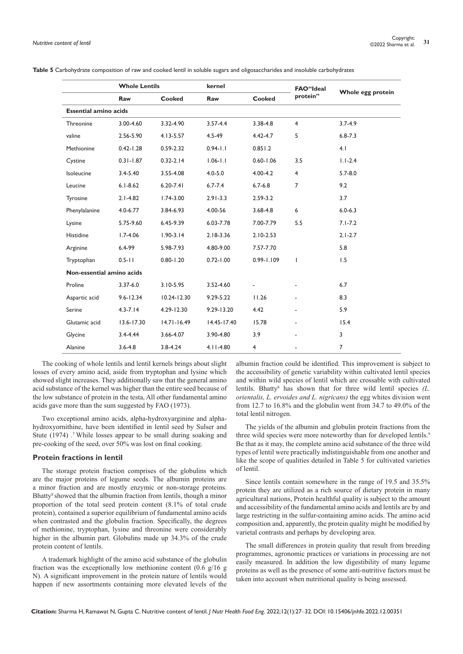|                              | <b>Whole Lentils</b> |                 | kernel         |                | <b>FAO</b> "Ideal |                   |  |
|------------------------------|----------------------|-----------------|----------------|----------------|-------------------|-------------------|--|
|                              | Raw                  | <b>Cooked</b>   | Raw            | Cooked         | protein"          | Whole egg protein |  |
| <b>Essential amino acids</b> |                      |                 |                |                |                   |                   |  |
| Threonine                    | 3.00-4.60            | 3.32-4.90       | $3.57 - 4.4$   | 3.38-4.8       | $\overline{4}$    | $3.7 - 4.9$       |  |
| valine                       | 2.56-5.90            | $4.13 - 5.57$   | $4.5 - 49$     | $4.42 - 4.7$   | 5                 | $6.8 - 7.3$       |  |
| Methionine                   | $0.42 - 1.28$        | $0.59 - 2.32$   | $0.94 - 1.1$   | 0.851.2        |                   | 4.1               |  |
| Cystine                      | $0.31 - 1.87$        | $0.32 - 2.14$   | $1.06 - 1.1$   | $0.60 - 1.06$  | 3.5               | $1.1 - 2.4$       |  |
| Isoleucine                   | $3.4 - 5.40$         | 3.55-4.08       | $4.0 - 5.0$    | $4.00 - 4.2$   | $\overline{4}$    | $5.7 - 8.0$       |  |
| Leucine                      | $6.1 - 8.62$         | $6.20 - 7.41$   | $6.7 - 7.4$    | $6.7 - 6.8$    | $\overline{7}$    | 9.2               |  |
| Tyrosine                     | $2.1 - 4.82$         | $1.74 - 3.00$   | $2.91 - 3.3$   | $2.59 - 3.2$   |                   | 3.7               |  |
| Phenylalanine                | $4.0 - 6.77$         | 3.84-6.93       | 4.00-56        | 3.68-4.8       | 6                 | $6.0 - 6.3$       |  |
| Lysine                       | 5.75-9.60            | 6.45-9.39       | 6.03-7.78      | 7.00-7.79      | 5.5               | $7.1 - 7.2$       |  |
| Histidine                    | $1.7 - 4.06$         | $1.90 - 3.14$   | $2.18 - 3.36$  | $2.10 - 2.53$  |                   | $2.1 - 2.7$       |  |
| Arginine                     | $6.4 - 99$           | 5.98-7.93       | 4.80-9.00      | 7.57-7.70      |                   | 5.8               |  |
| Tryptophan                   | $0.5 - 11$           | $0.80 - 1.20$   | $0.72 - 1.00$  | $0.99 - 1.109$ | $\mathbf{I}$      | 1.5               |  |
| Non-essential amino acids    |                      |                 |                |                |                   |                   |  |
| Proline                      | $3.37 - 6.0$         | $3.10 - 5.95$   | 3.52-4.60      |                |                   | 6.7               |  |
| Aspartic acid                | $9.6 - 12.34$        | $10.24 - 12.30$ | $9.29 - 5.22$  | 11.26          |                   | 8.3               |  |
| Serine                       | $4.3 - 7.14$         | $4.29 - 12.30$  | $9.29 - 13.20$ | 4.42           |                   | 5.9               |  |
| Glutamic acid                | $13.6 - 17.30$       | $14.71 - 16.49$ | 14.45-17.40    | 15.78          |                   | 15.4              |  |
| Glycine                      | $3.4 - 4.44$         | 3.66-4.07       | 3.90-4.80      | 3.9            |                   | 3                 |  |
| Alanine                      | $3.6 - 4.8$          | $3.8 - 4.24$    | $4.11 - 4.80$  | $\overline{4}$ |                   | $\overline{7}$    |  |

**Table 5** Carbohydrate composition of raw and cooked lentil in soluble sugars and oligosaccharides and insoluble carbohydrates

The cooking of whole lentils and lentil kernels brings about slight losses of every amino acid, aside from tryptophan and lysine which showed slight increases. They additionally saw that the general amino acid substance of the kernel was higher than the entire seed because of the low substance of protein in the testa, All other fundamental amino acids gave more than the sum suggested by FAO (1973).

Two exceptional amino acids, alpha-hydroxyarginine and alphahydroxyornithine, have been identified in lentil seed by Sulser and Stute (1974) *.* 7 While losses appear to be small during soaking and pre-cooking of the seed, over 50% was lost on final cooking.

## **Protein fractions in lentil**

The storage protein fraction comprises of the globulins which are the major proteins of legume seeds. The albumin proteins are a minor fraction and are mostly enzymic or non-storage proteins. Bhatty<sup>8</sup> showed that the albumin fraction from lentils, though a minor proportion of the total seed protein content (8.1% of total crude protein), contained a superior equilibrium of fundamental amino acids when contrasted and the globulin fraction. Specifically, the degrees of methionine, tryptophan, lysine and threonine were considerably higher in the albumin part. Globulins made up 34.3% of the crude protein content of lentils.

A trademark highlight of the amino acid substance of the globulin fraction was the exceptionally low methionine content  $(0.6 \text{ g}/16 \text{ g})$ N). A significant improvement in the protein nature of lentils would happen if new assortments containing more elevated levels of the

albumin fraction could be identified. This improvement is subject to the accessibility of genetic variability within cultivated lentil species and within wild species of lentil which are crossable with cultivated lentils. Bhatty<sup>8</sup> has shown that for three wild lentil species *(L. orientalis, L. ervoides and L. nigricans)* the egg whites division went from 12.7 to 16.8% and the globulin went from 34.7 to 49.0% of the total lentil nitrogen.

The yields of the albumin and globulin protein fractions from the three wild species were more noteworthy than for developed lentils.<sup>9</sup> Be that as it may, the complete amino acid substance of the three wild types of lentil were practically indistinguishable from one another and like the scope of qualities detailed in Table 5 for cultivated varieties of lentil.

Since lentils contain somewhere in the range of 19.5 and 35.5% protein they are utilized as a rich source of dietary protein in many agricultural nations, Protein healthful quality is subject to the amount and accessibility of the fundamental amino acids and lentils are by and large restricting in the sulfur-containing amino acids. The amino acid composition and, apparently, the protein quality might be modified by varietal contrasts and perhaps by developing area.

The small differences in protein quality that result from breeding programmes, agronomic practices or variations in processing are not easily measured. In addition the low digestibility of many legume proteins as well as the presence of some anti-nutritive factors must be taken into account when nutritional quality is being assessed.